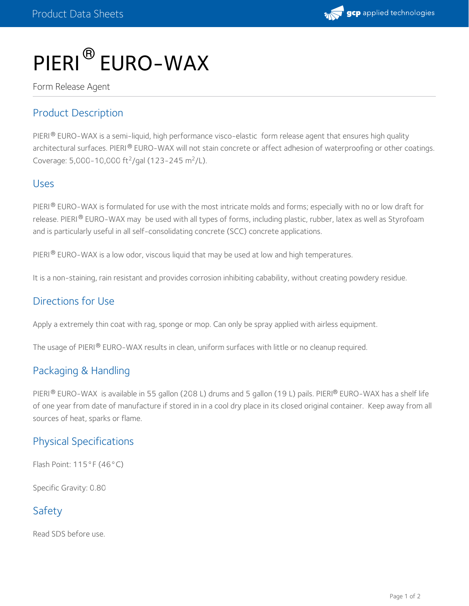

# PIERI<sup>®</sup> EURO-WAX

Form Release Agent

## Product Description

PIERI® EURO-WAX is a semi-liquid, high performance visco-elastic form release agent that ensures high quality architectural surfaces. PIERI® EURO-WAX will not stain concrete or affect adhesion of waterproofing or other coatings. Coverage: 5,000-10,000 ft<sup>2</sup>/gal (123-245 m<sup>2</sup>/L).

#### Uses

PIERI $^{\circledR}$  EURO-WAX is formulated for use with the most intricate molds and forms; especially with no or low draft for release. PIERI® EURO-WAX may be used with all types of forms, including plastic, rubber, latex as well as Styrofoam and is particularly useful in all self-consolidating concrete (SCC) concrete applications.

PIERI $^\circledR$  EURO-WAX is a low odor, viscous liquid that may be used at low and high temperatures.

It is a non-staining, rain resistant and provides corrosion inhibiting cabability, without creating powdery residue.

### Directions for Use

Apply a extremely thin coat with rag, sponge or mop. Can only be spray applied with airless equipment.

The usage of PIERI® EURO-WAX results in clean, uniform surfaces with little or no cleanup required.

#### Packaging & Handling

PIERI® EURO-WAX is available in 55 gallon (208 L) drums and 5 gallon (19 L) pails. PIERI® EURO-WAX has a shelf life of one year from date of manufacture if stored in in a cool dry place in its closed original container. Keep away from all sources of heat, sparks or flame.

## Physical Specifications

Flash Point: 115°F (46°C)

Specific Gravity: 0.80

# Safety

Read SDS before use.